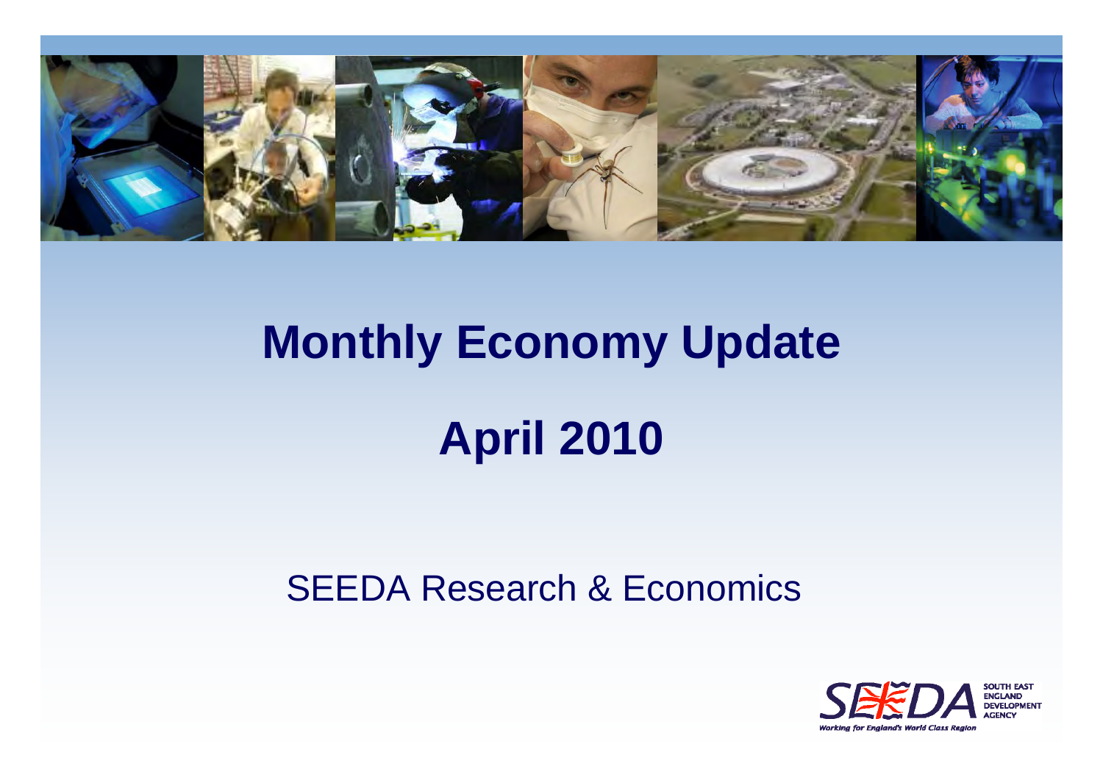

# **Monthly Economy Update April 2010**

#### SEEDA Research & Economics

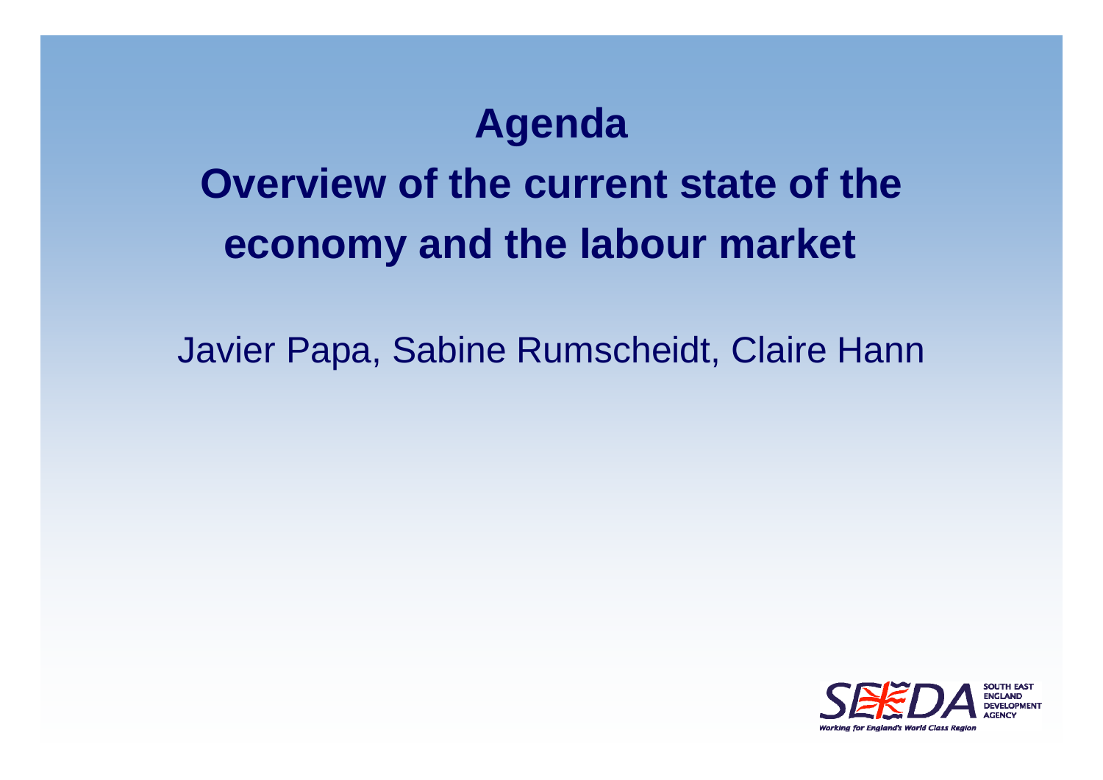### **Agenda**

### **Overview of the current state of the economy and the labour market**

Javier Papa, Sabine Rumscheidt, Claire Hann

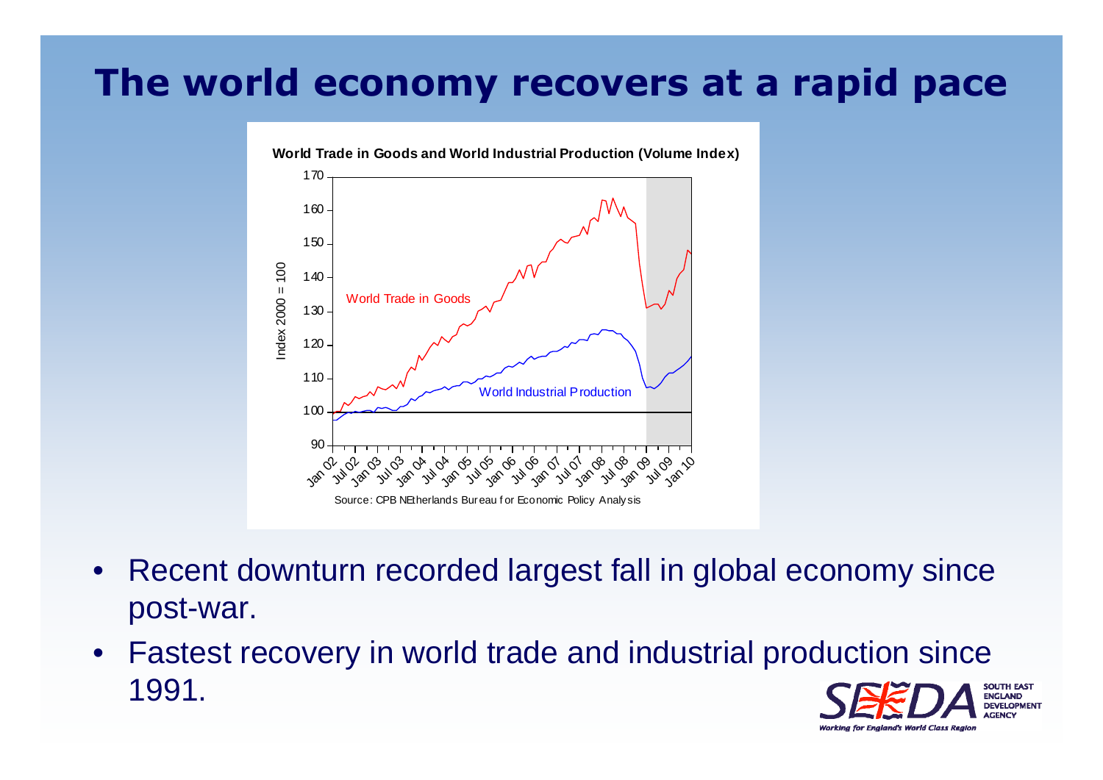#### **The world economy recovers at a rapid pace**



**World Trade in Goods and World Industrial Production (Volume Index)**

- $\bullet$  Recent downturn recorded largest fall in global economy since post-war.
- Fastest recovery in world trade and industrial production since 1991.**ENGLAND DEVELOPMENT**

Working for England's World Class Regio.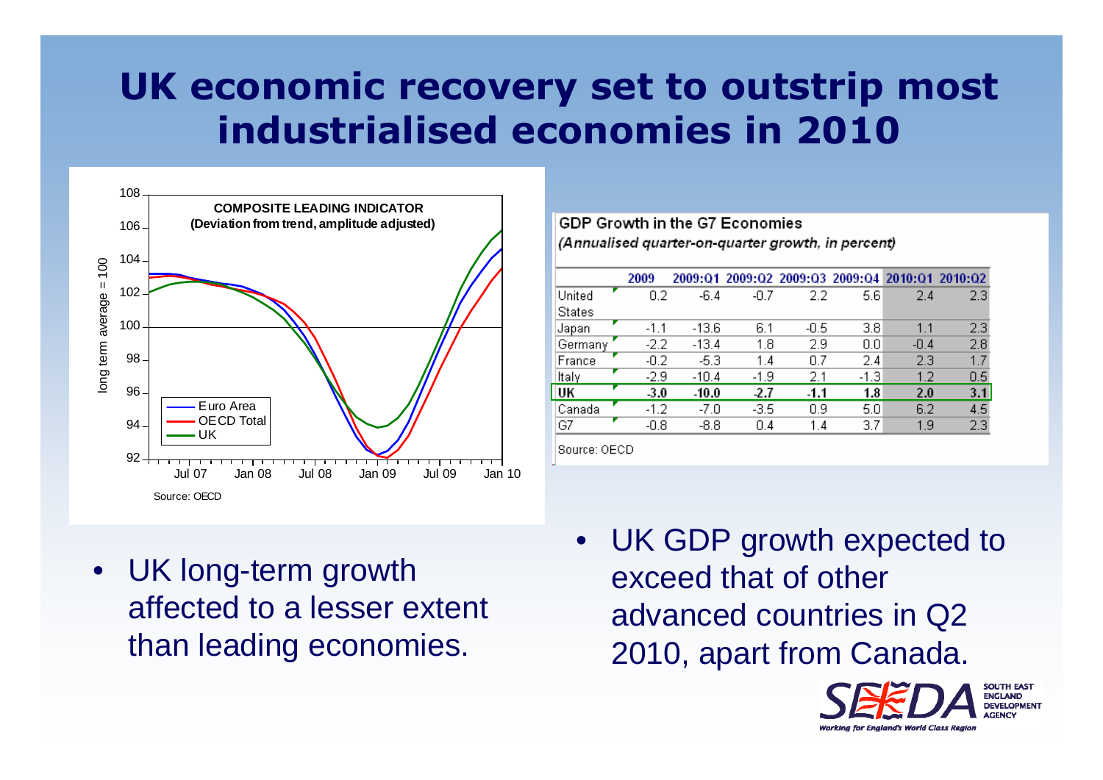### **UK economic recovery set to outstrip most industrialised economies in 2010**



GDP Growth in the G7 Economies (Annualised quarter-on-quarter growth, in percent)

|               | 2009   |         |        | 2009:01 2009:02 2009:03 2009:04 2010:01 2010:02 |        |        |     |
|---------------|--------|---------|--------|-------------------------------------------------|--------|--------|-----|
| United        | 0.2    | $-6.4$  | $-0.7$ | 2.2                                             | 5.6    | 2.4    | 2.3 |
| <b>States</b> |        |         |        |                                                 |        |        |     |
| Japan         | $-1.1$ | $-13.6$ | 6.1    | -0.5                                            | 3.8    | 1.1    | 2.3 |
| Germany       | $-2.2$ | $-13.4$ | 1.8    | 2.9                                             | 0.0    | $-0.4$ | 2.8 |
| France        | -0.2   | $-5.3$  | 1.4    | 0.7                                             | 2.4    | 2.3    | 1.7 |
| ltaly         | -2.9   | $-10.4$ | $-1.9$ | 2.1                                             | $-1.3$ | 1.2    | 0.5 |
| UK            | 3.0    | $-10.0$ | -2.7   | $-1.1$                                          | 1.8    | 2.0    | 3.1 |
| Canada        | $-1.2$ | -7.0    | -3.5   | 0.9                                             | 5.0    | 6.2    | 4.5 |
| G7            | $-0.8$ | $-8.8$  | 0.4    | 1.4                                             | 3.7    | 1.9    | 2.3 |
|               |        |         |        |                                                 |        |        |     |

Source: OECD

• UK long-term growth affected to a lesser extent than leading economies.

• UK GDP growth expected to exceed that of other advanced countries in Q2 2010, apart from Canada.

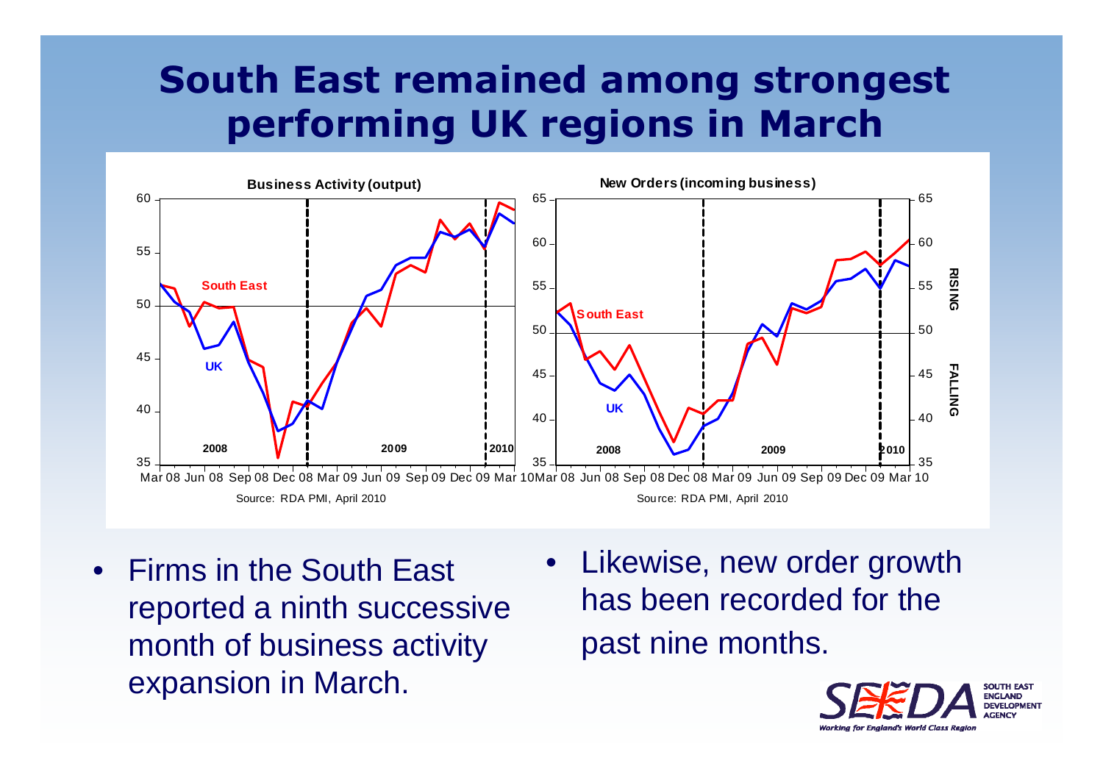### **South East remained among strongest performing UK regions in March**



- $\bullet$  Firms in the South East reported a ninth successive month of business activity expansion in March.
- • Likewise, new order growth has been recorded for the past nine months.

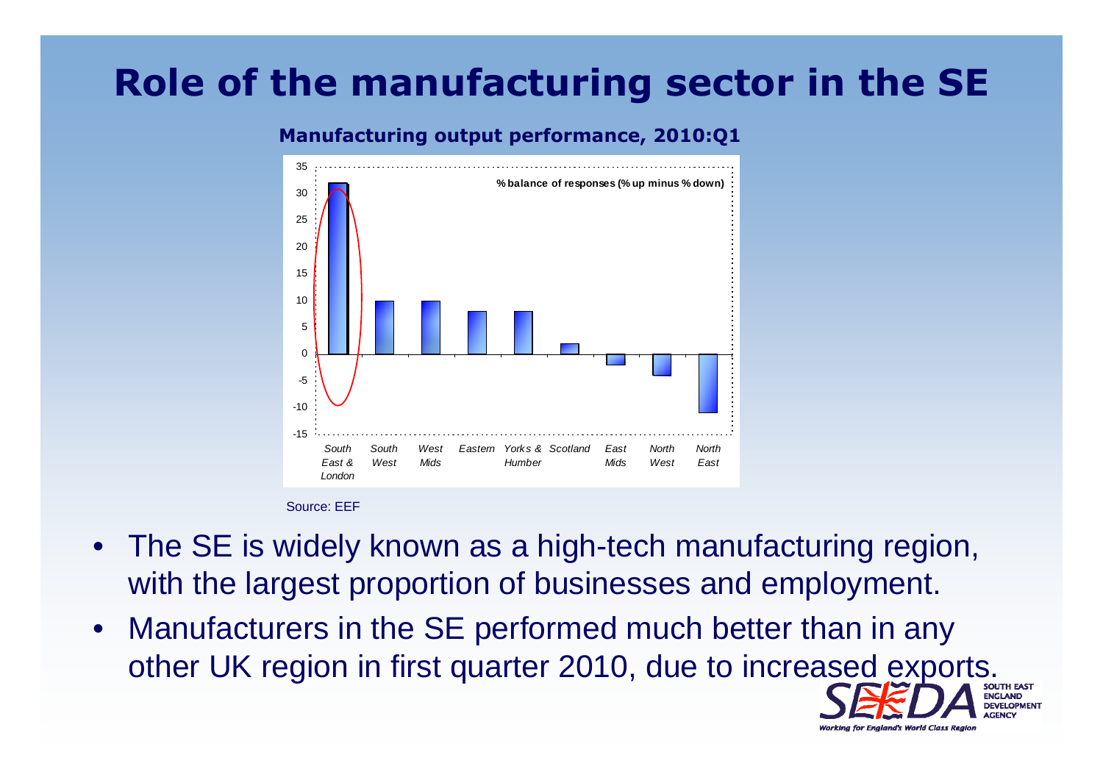### **Role of the manufacturing sector in the SE**

#### -15-10-5  $\Omega$ 510 1520253035*SouthEast &LondonSouthWest West Mids Eastern Yorks &Scotland EastHumber* East *Mids NorthWest NorthEast* **% balance of responses (% up minus % down)**

#### **Manufacturing output performance, 2010:Q1**

Source: EEF

- The SE is widely known as a high-tech manufacturing region, with the largest proportion of businesses and employment.
- $\bullet$  Manufacturers in the SE performed much better than in any other UK region in first quarter 2010, due to increased exports.

Working for England's World Class Regio.

**DEVELOPMENT**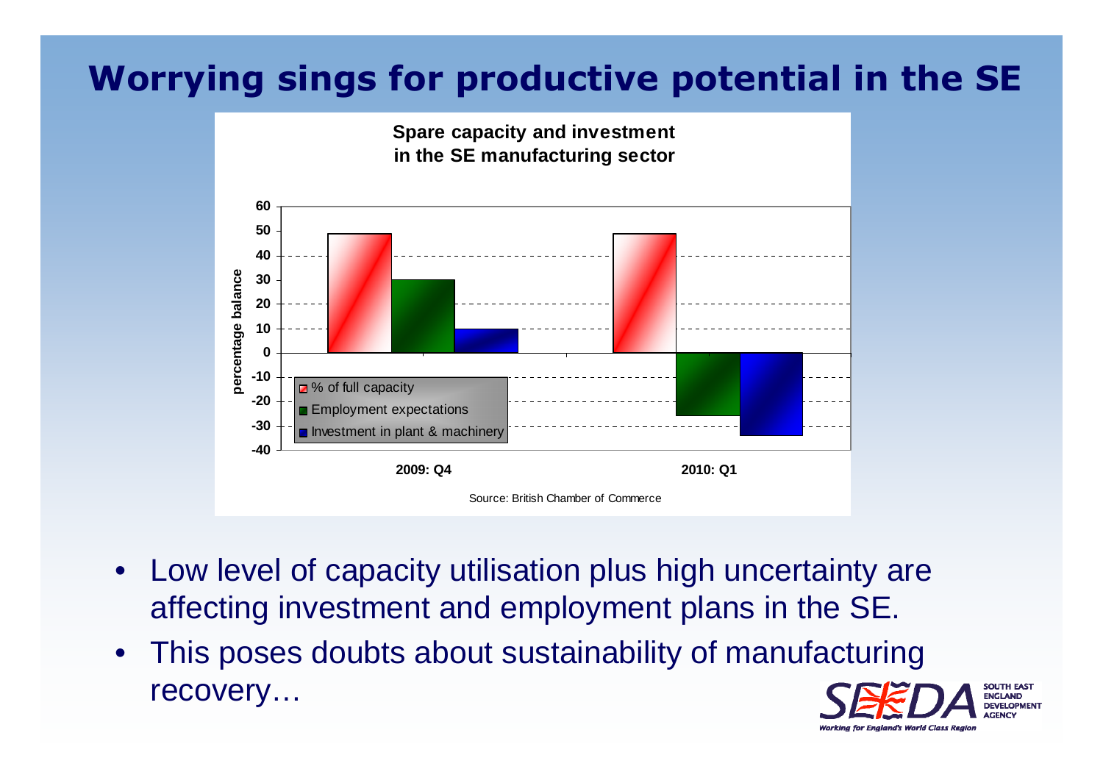#### **Worrying sings for productive potential in the SE**



- $\bullet$  Low level of capacity utilisation plus high uncertainty are affecting investment and employment plans in the SE.
- $\bullet$  This poses doubts about sustainability of manufacturing recovery…

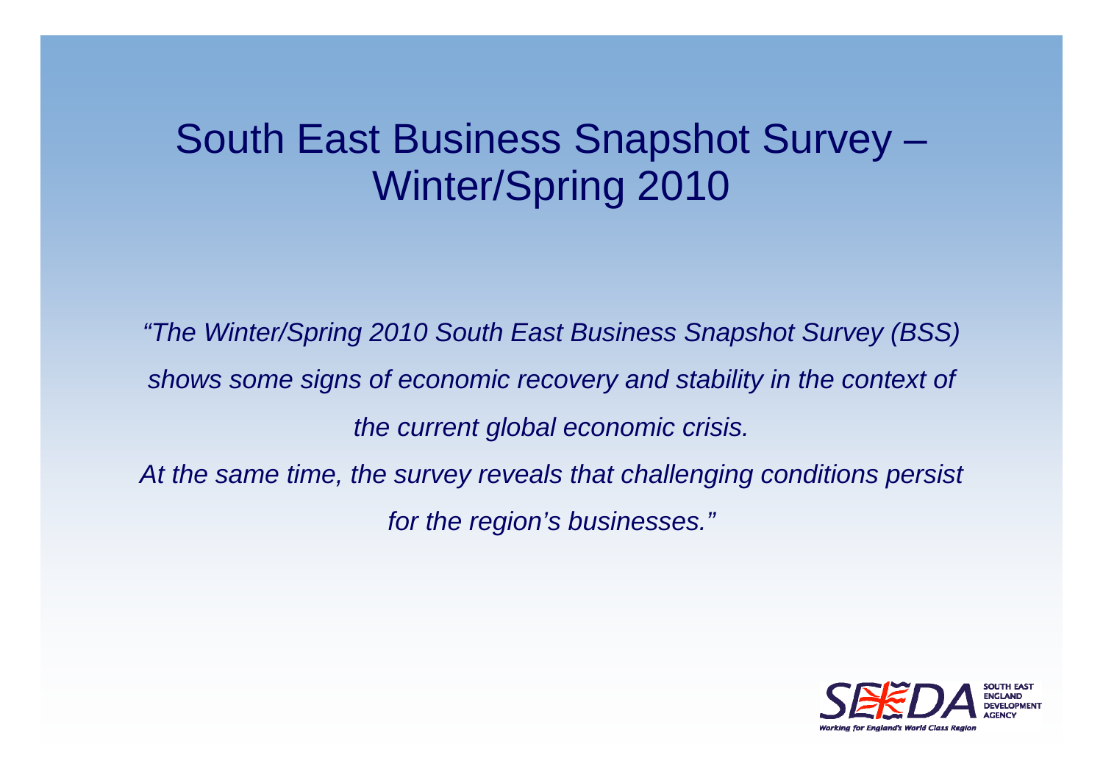### South East Business Snapshot Survey – Winter/Spring 2010

*"The Winter/Spring 2010 South East Business Snapshot Survey (BSS) shows some signs of economic recovery and stability in the context of the current global economic crisis.*  At the same time, the survey reveals that challenging conditions persist

*for the region's businesses."*

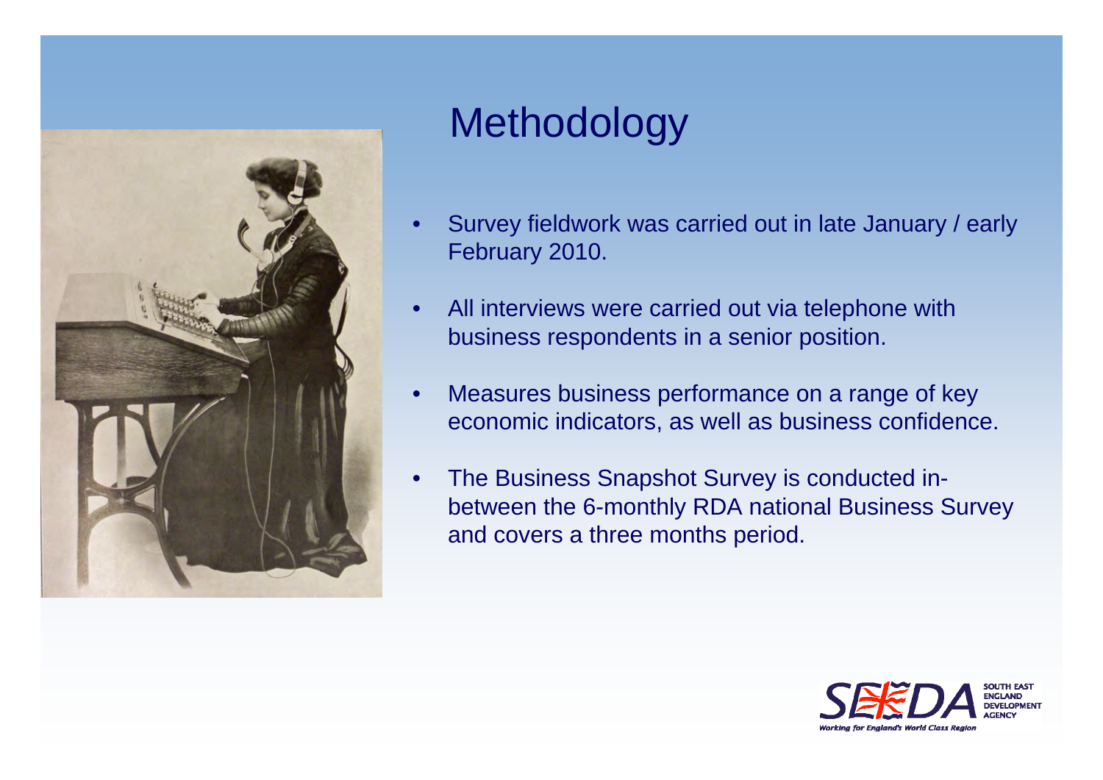

### Methodology

- • Survey fieldwork was carried out in late January / early February 2010.
- • All interviews were carried out via telephone with business respondents in a senior position.
- • Measures business performance on a range of key economic indicators, as well as business confidence.
- • The Business Snapshot Survey is conducted inbetween the 6-monthly RDA national Business Survey and covers a three months period.

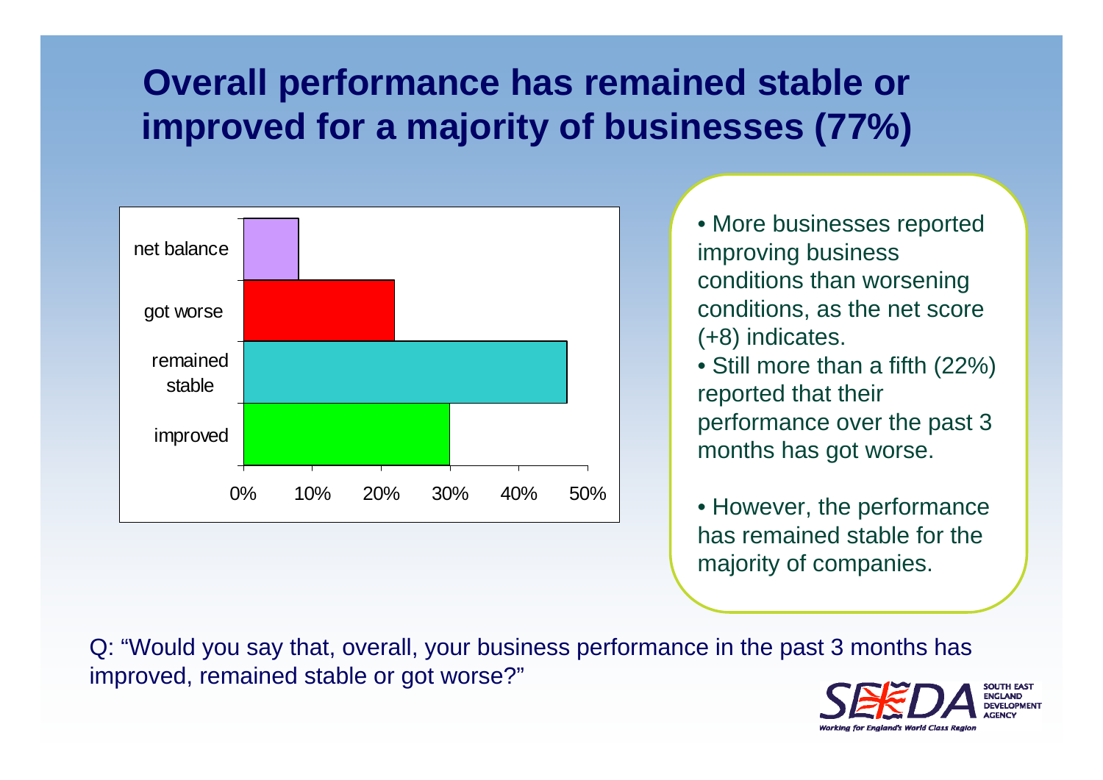### **Overall performance has remained stable or improved for a majority of businesses (77%)**



- More businesses reported improving business conditions than worsening conditions, as the net score (+8) indicates.
- Still more than a fifth (22%) reported that their performance over the past 3 months has got worse.
- However, the performance has remained stable for the majority of companies.

Q: "Would you say that, overall, your business performance in the past 3 months has improved, remained stable or got worse?"

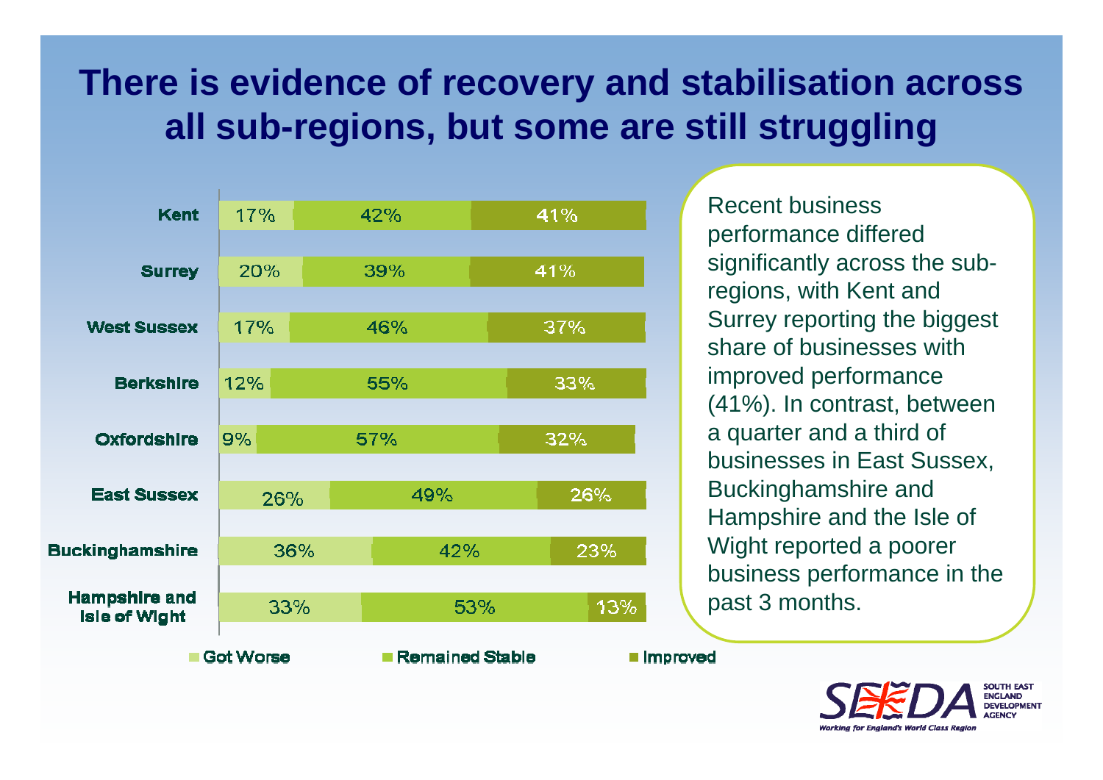### **There is evidence of recovery and stabilisation across all sub-regions, but some are still struggling**



Recent business performance differed significantly across the subregions, with Kent and Surrey reporting the biggest share of businesses with improved performance (41%). In contrast, between a quarter and a third of businesses in East Sussex, Buckinghamshire and Hampshire and the Isle of Wight reported a poorer business performance in the past 3 months.

**II** Improved

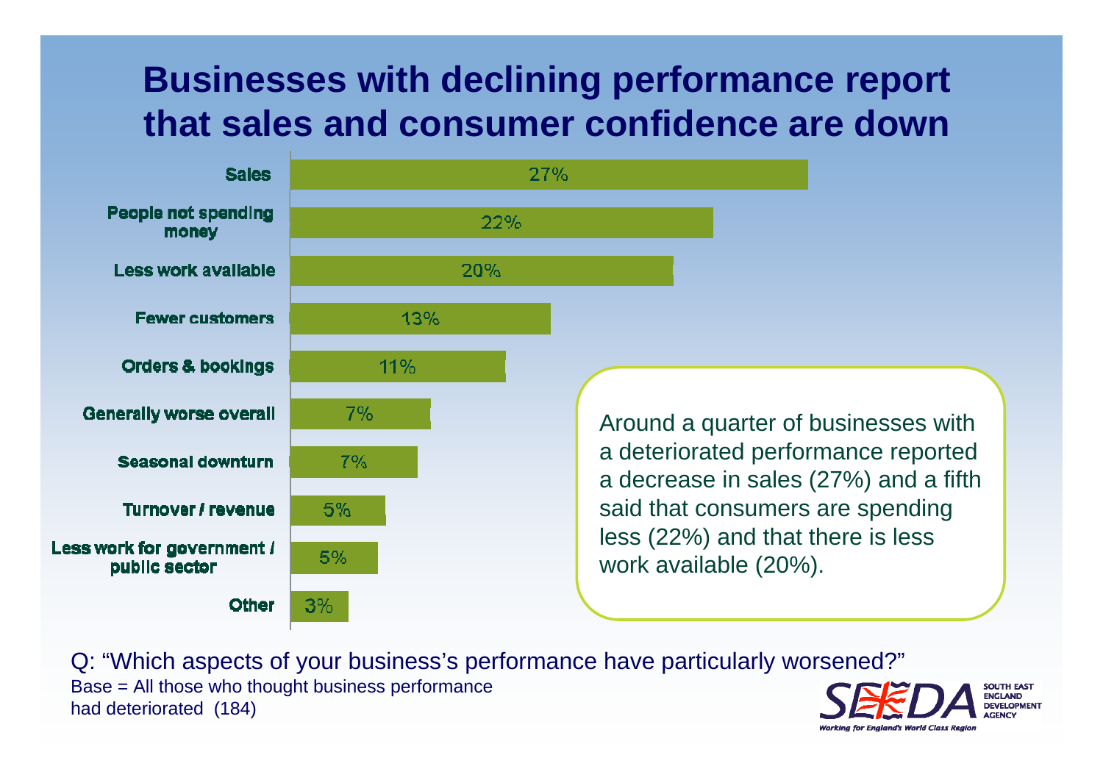#### **Businesses with declining performance report that sales and consumer confidence are down**

 $\sim$   $\sim$   $\sim$ 

Z Z "/0

 $\sim$   $\sim$   $\sim$ 



Around a quarter of businesses with a deteriorated performance reported a decrease in sales (27%) and a fifth said that consumers are spending less (22%) and that there is less work available (20%).

Q: "Which aspects of your business's performance have particularly worsened?" Base = All those who thought business performance had deteriorated (184)

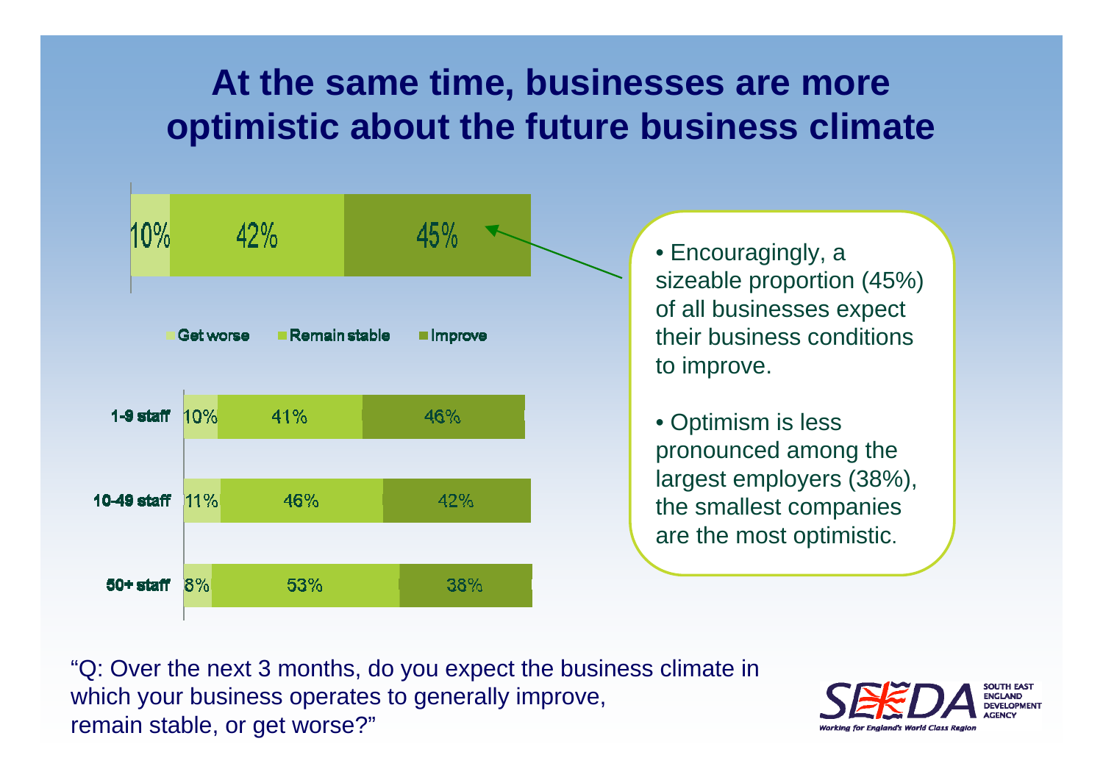### **At the same time, businesses are more optimistic about the future business climate**



• Encouragingly, a sizeable proportion (45%) of all businesses expect their business conditions to improve.

• Optimism is less pronounced among the largest employers (38%), the smallest companies are the most optimistic.

"Q: Over the next 3 months, do you expect the business climate in which your business operates to generally improve, remain stable, or get worse?"

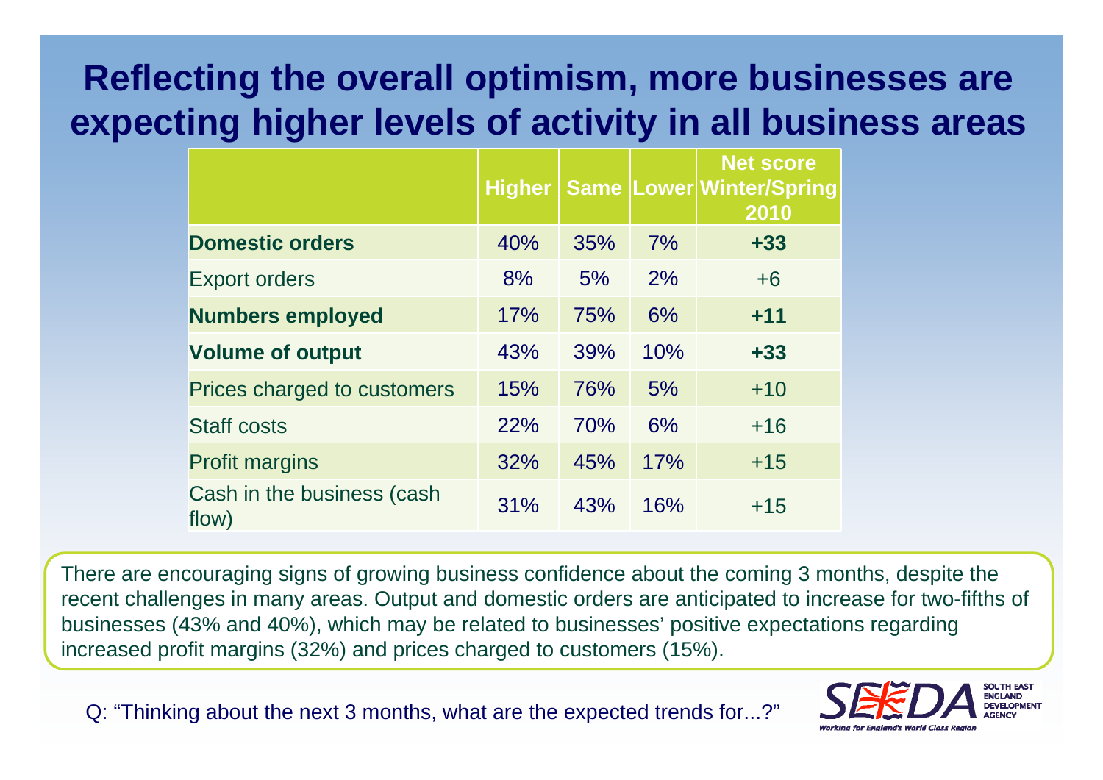### **Reflecting the overall optimism, more businesses are expecting higher levels of activity in all business areas**

|                                     | <b>Higher</b> |     |     | <b>Net score</b><br><b>Same Lower Winter/Spring</b><br>2010 |
|-------------------------------------|---------------|-----|-----|-------------------------------------------------------------|
| <b>Domestic orders</b>              | 40%           | 35% | 7%  | $+33$                                                       |
| <b>Export orders</b>                | 8%            | 5%  | 2%  | $+6$                                                        |
| <b>Numbers employed</b>             | 17%           | 75% | 6%  | $+11$                                                       |
| <b>Volume of output</b>             | 43%           | 39% | 10% | $+33$                                                       |
| Prices charged to customers         | 15%           | 76% | 5%  | $+10$                                                       |
| <b>Staff costs</b>                  | 22%           | 70% | 6%  | $+16$                                                       |
| <b>Profit margins</b>               | 32%           | 45% | 17% | $+15$                                                       |
| Cash in the business (cash<br>flow) | 31%           | 43% | 16% | $+15$                                                       |

There are encouraging signs of growing business confidence about the coming 3 months, despite the recent challenges in many areas. Output and domestic orders are anticipated to increase for two-fifths of businesses (43% and 40%), which may be related to businesses' positive expectations regarding increased profit margins (32%) and prices charged to customers (15%).

Q: "Thinking about the next 3 months, what are the expected trends for...?"

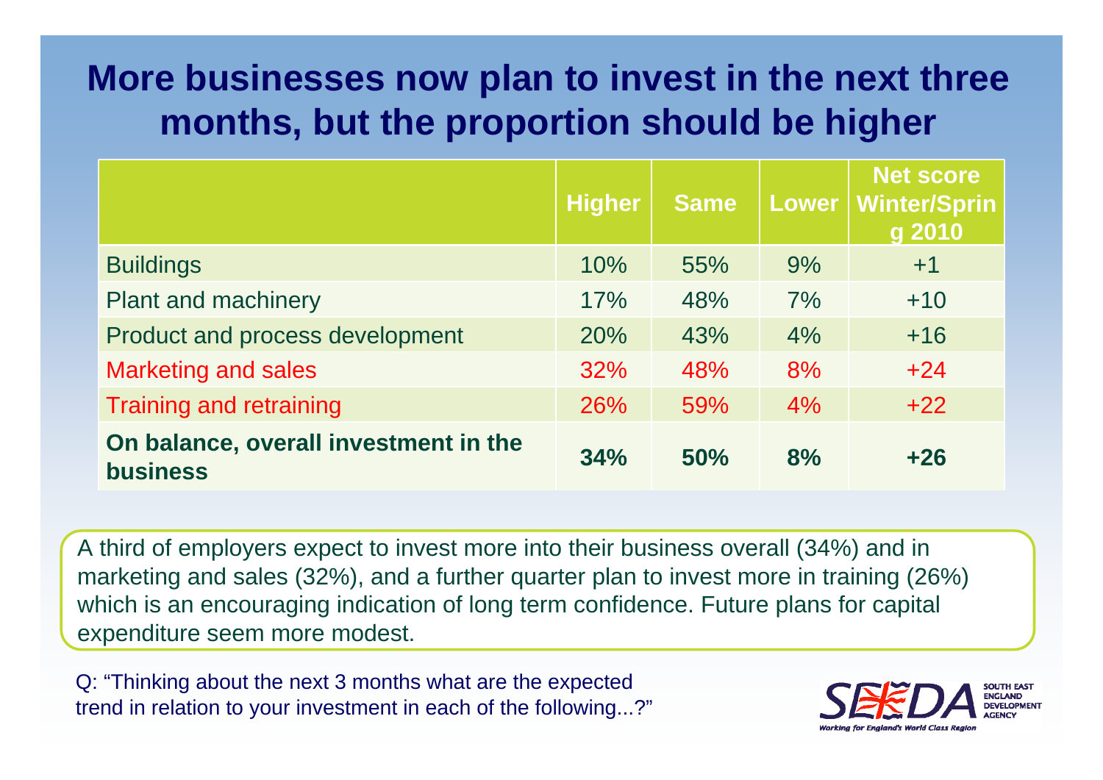### **More businesses now plan to invest in the next three months, but the proportion should be higher**

|                                                          | <b>Higher</b> | <b>Same</b> | <b>Lower</b> | <b>Net score</b><br><b>Winter/Sprin</b><br>g 2010 |
|----------------------------------------------------------|---------------|-------------|--------------|---------------------------------------------------|
| <b>Buildings</b>                                         | 10%           | 55%         | 9%           | $+1$                                              |
| <b>Plant and machinery</b>                               | 17%           | 48%         | 7%           | $+10$                                             |
| Product and process development                          | 20%           | 43%         | 4%           | $+16$                                             |
| <b>Marketing and sales</b>                               | 32%           | 48%         | 8%           | $+24$                                             |
| <b>Training and retraining</b>                           | 26%           | 59%         | 4%           | $+22$                                             |
| On balance, overall investment in the<br><b>business</b> | 34%           | 50%         | 8%           | $+26$                                             |

A third of employers expect to invest more into their business overall (34%) and in marketing and sales (32%), and a further quarter plan to invest more in training (26%) which is an encouraging indication of long term confidence. Future plans for capital expenditure seem more modest.

Q: "Thinking about the next 3 months what are the expected trend in relation to your investment in each of the following...?"

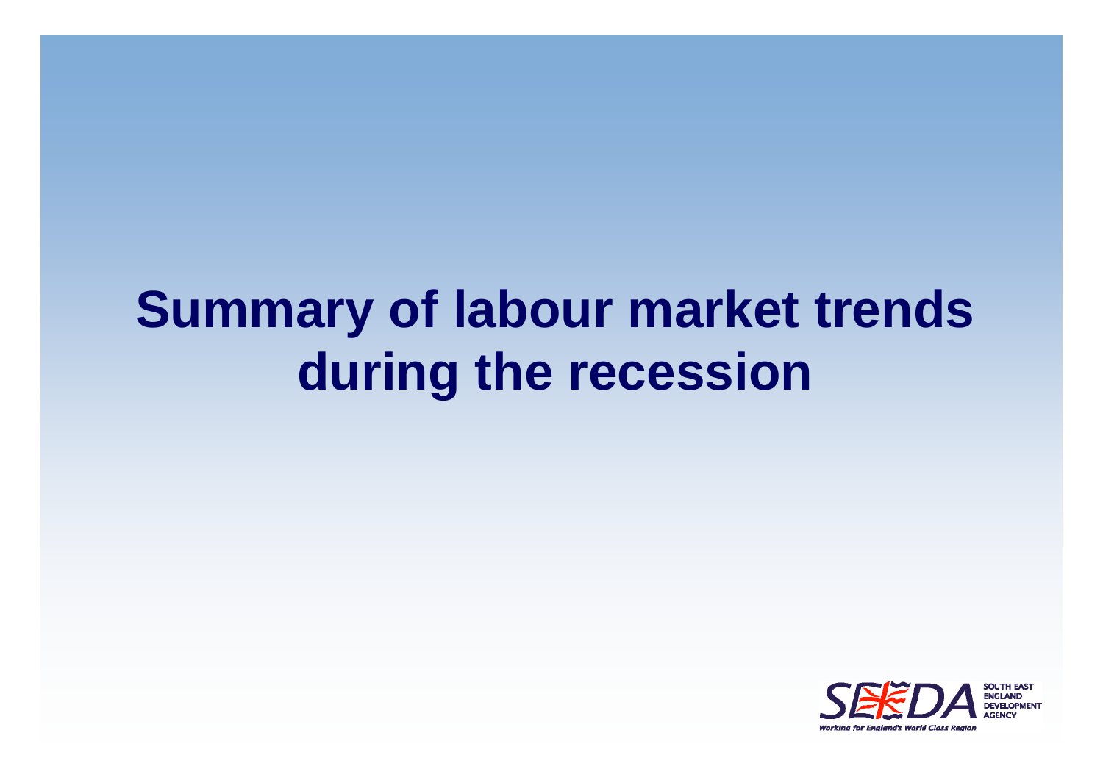# **Summary of labour market trends during the recession**

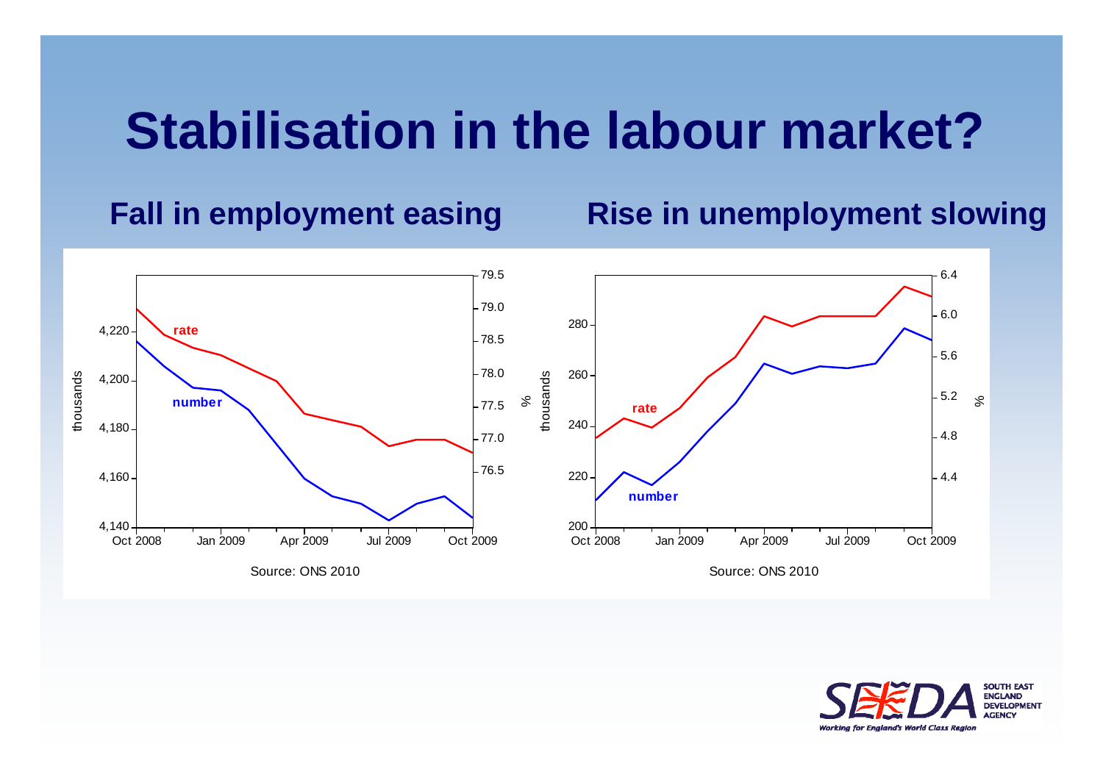### **Stabilisation in the labour market?**

#### **Fall in employment easing Rise in unemployment slowing**



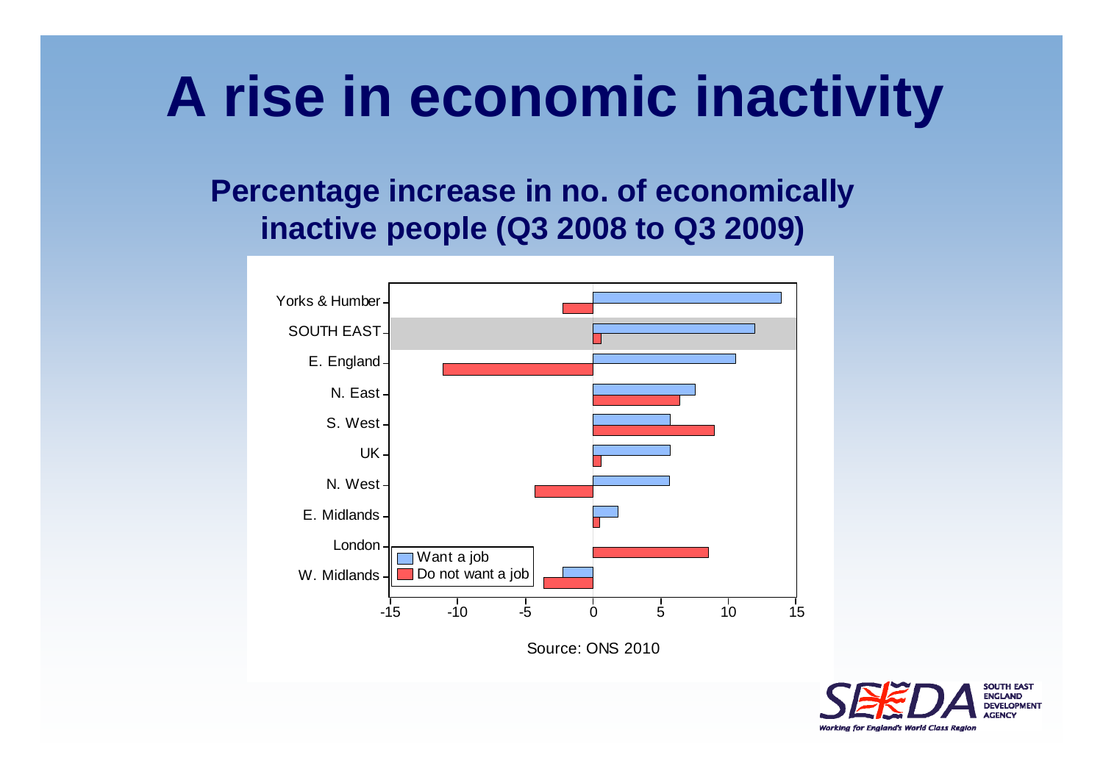# **A rise in economic inactivity**

#### **Percentage increase in no. of economically inactive people (Q3 2008 to Q3 2009)**



Source: ONS 2010

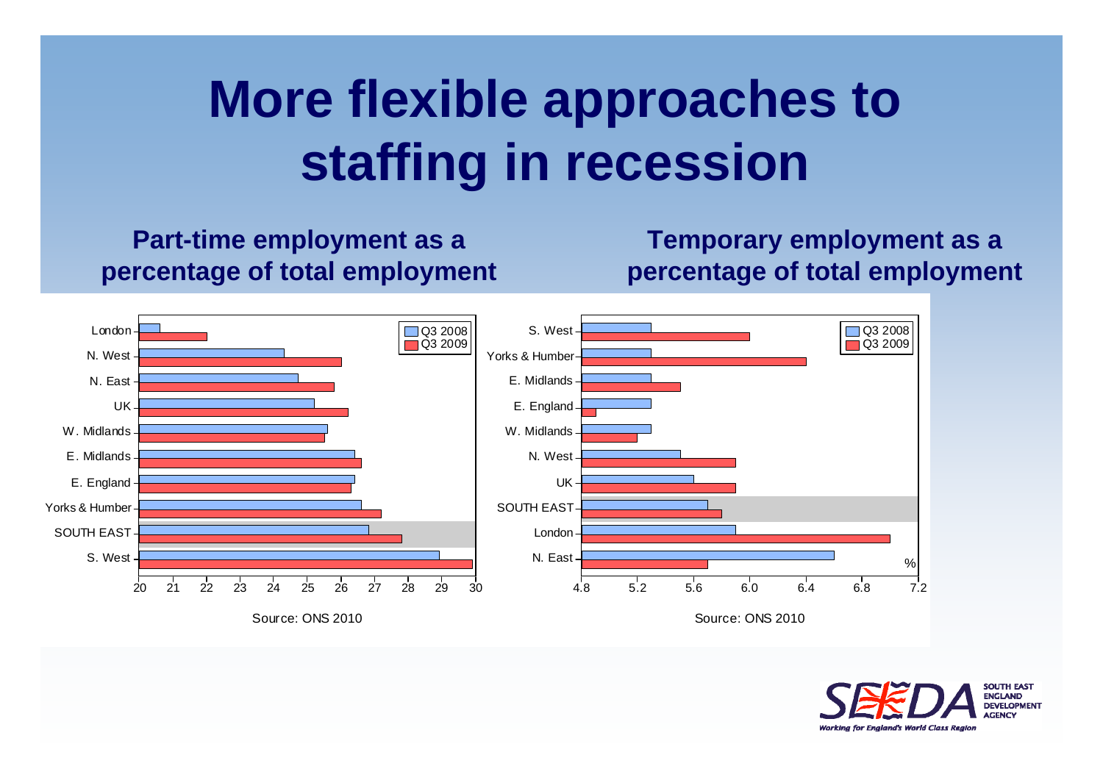# **More flexible approaches to staffing in recession**

**Part-time employment as a percentage of total employment**

**Temporary employment as a percentage of total employment**



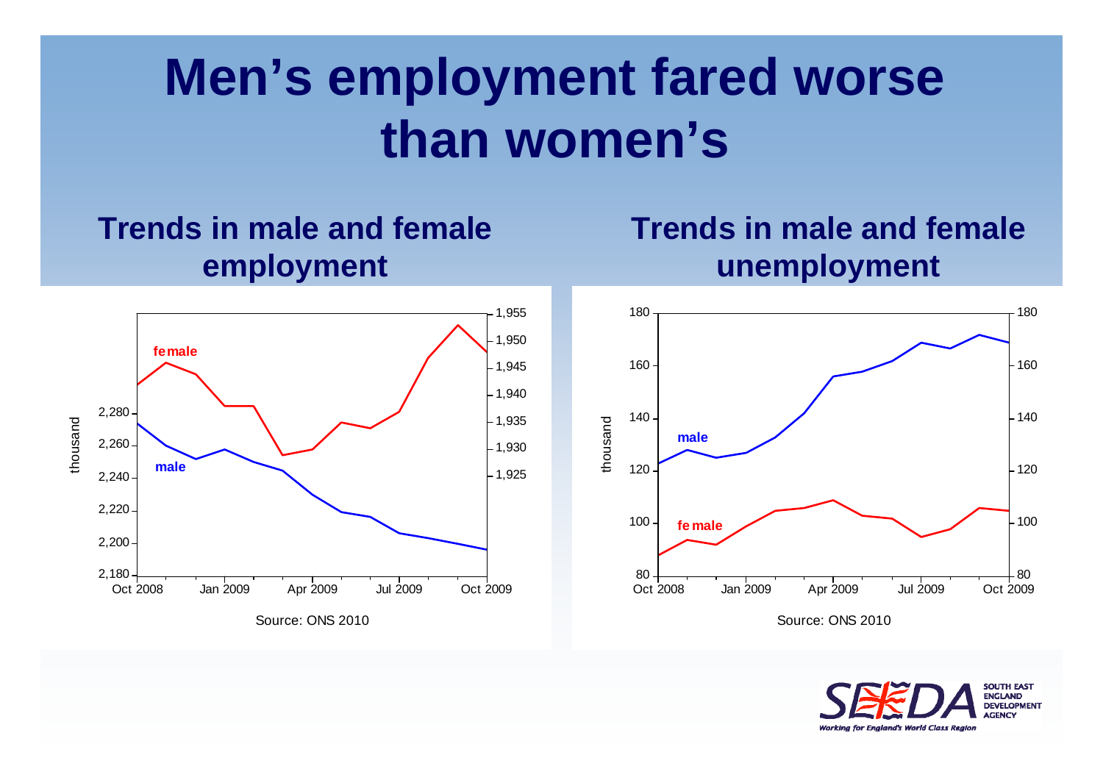# **Men's employment fared worse than women's**

#### **Trends in male and female employment**

#### **Trends in male and female unemployment**





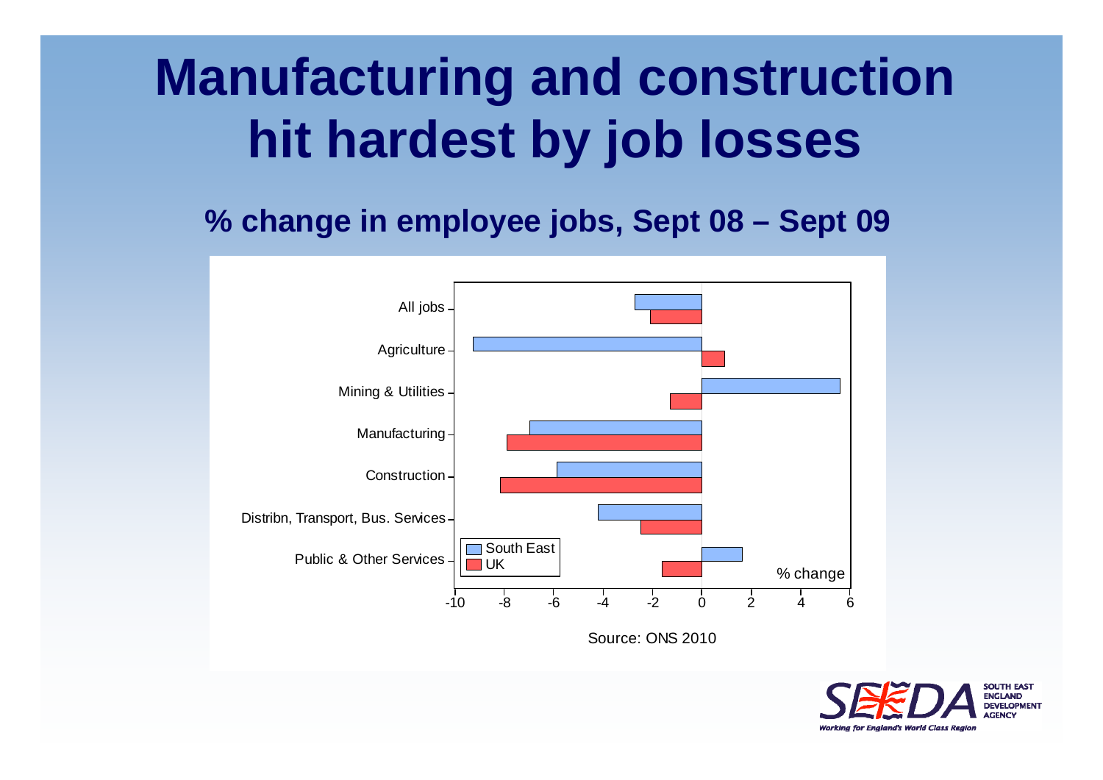# **Manufacturing and construction hit hardest by job losses**

#### **% change in employee jobs, Sept 08 – Sept 09**



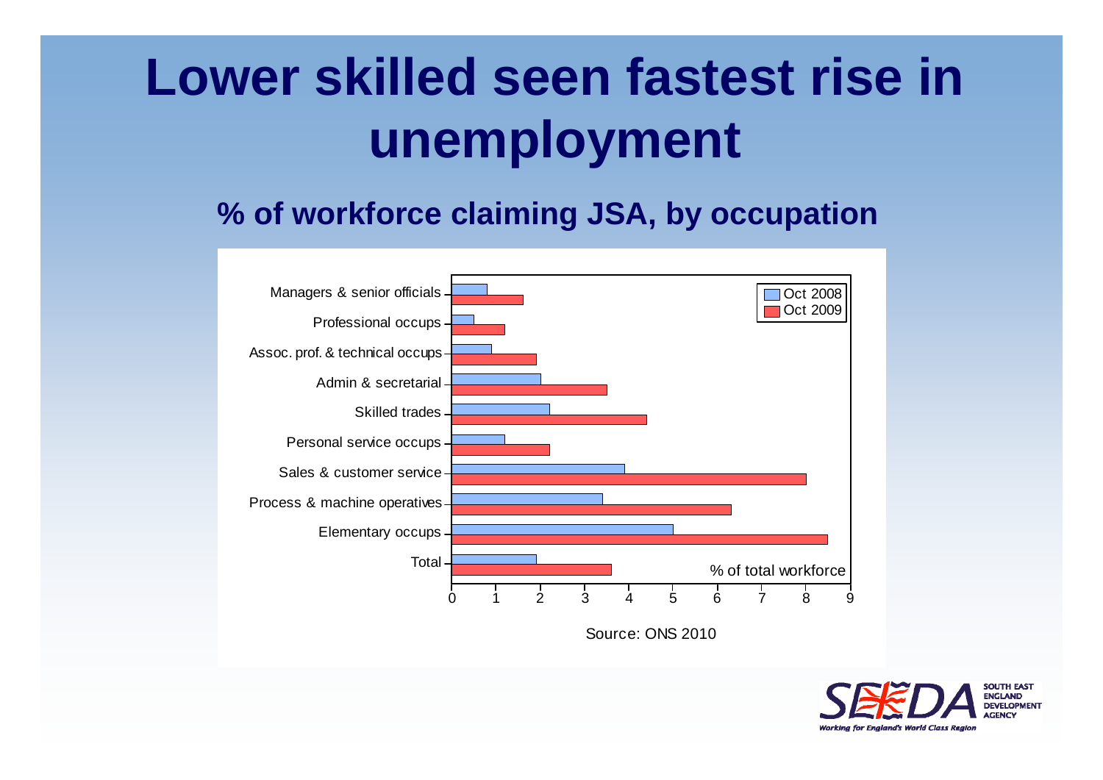# **Lower skilled seen fastest rise in unemployment**

**% of workforce claiming JSA, by occupation**



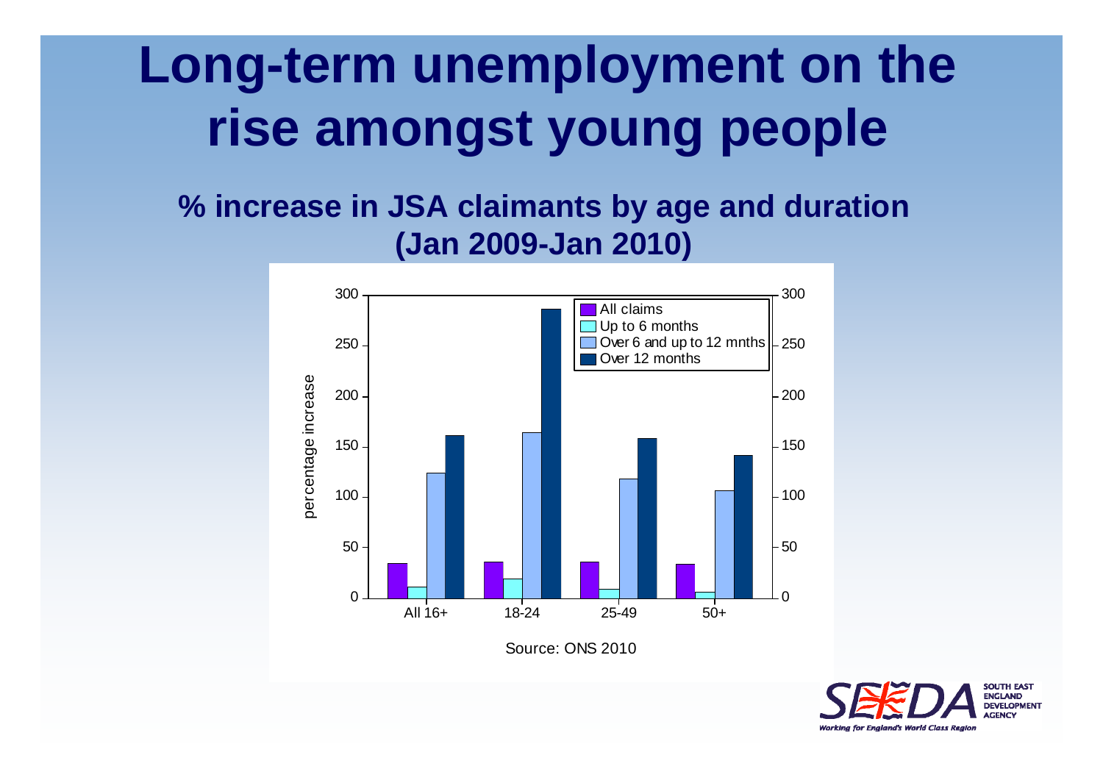# **Long-term unemployment on the rise amongst young people**

#### **% increase in JSA claimants by age and duration (Jan 2009-Jan 2010)**



Source: ONS 2010

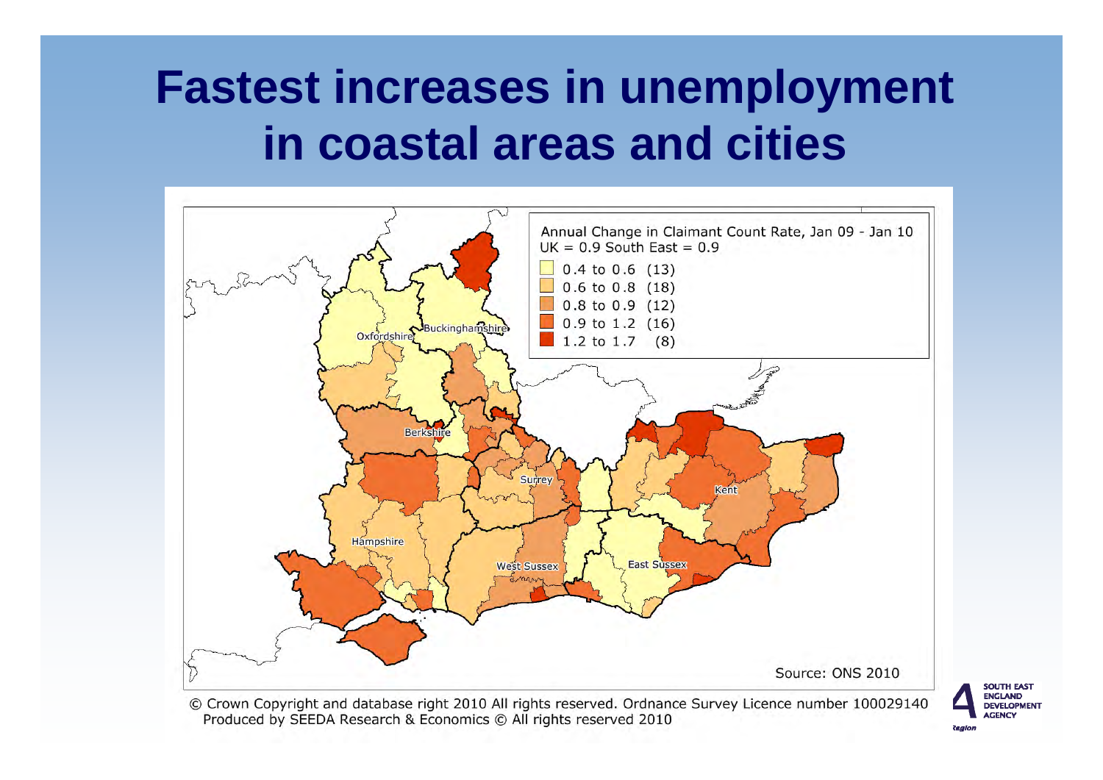### **Fastest increases in unemployment in coastal areas and cities**



**SOUTH EAST ENGLAND DEVELOPMENT AGENCY** 

© Crown Copyright and database right 2010 All rights reserved. Ordnance Survey Licence number 100029140 Produced by SEEDA Research & Economics © All rights reserved 2010